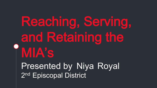# Reaching, Serving, and Retaining the MIA's Presented by Niya Royal 2<sup>nd</sup> Episcopal District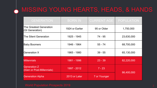## **A MISSING YOUNG HEARTS, HEADS, & HANDS**

| <b>GENERATION</b>                                 | <b>BORN IN</b>  | <b>CURRENT AGE</b> | <b>POPULATION</b> |
|---------------------------------------------------|-----------------|--------------------|-------------------|
| The Greatest Generation<br>(GI Generation)        | 1924 or Earlier | 95 or Older        | 1,750,000         |
| The Silent Generation                             | 1925 - 1945     | 74 - 95            | 23,630,000        |
| <b>Baby Boomers</b>                               | 1946 - 1964     | $55 - 74$          | 68,700,000        |
| <b>Generation X</b>                               | 1965 - 1980     | $39 - 55$          | 65,130,000        |
| <b>Millennials</b>                                | 1981 - 1996     | $23 - 39$          | 82,220,000        |
| <b>Generation Z</b><br>(iGen or Post-Millennials) | 1997 - 2012     | $7 - 23$           | 86,400,000        |
| <b>Generation Alpha</b>                           | 2013 or Later   | 7 or Younger       |                   |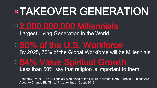## 2,000,000,000 Millennials Largest Living Generation in the World 84% Value Spiritual Growth Less than 50% say that religion is important to them  $\diamond$  50% of the U.S. Workforce By 2025, 75% of the Global Workforce will be Millennials. TAKEOVER GENERATION

Economy, Peter. "The (Millennial) Workplace of the Future Is Almost Here -- These 3 Things Are About to Change Big Time." *Inc.com*, Inc., 15 Jan. 2019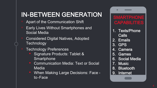## IN-BETWEEN GENERATION

- Apart of the Communication Shift
- Early Lives Without Smartphones and Social Media
- Considered Digital Natives, Adopted Technology
- Technology Preferences
	- Signature Products: Tablet & **Smartphone**
	- Communication Media: Text or Social Media
	- When Making Large Decisions: Face to-Face

### **SMARTPHONE** CAPABILITIES

- 1. Texts/Phone Calls
- 2. Emails
- 3. GPS
- 4. Camera
- 5. Games
- 6. Social Media
- 7. Music
- 8. Bluetooth
- 9. Internet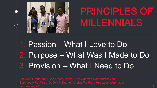

# PRINCIPLES OF MILLENNIALS

## 1. Passion – What I Love to Do 2. Purpose – What Was I Made to Do 3. Provision – What I Need to Do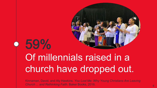

# 59% Of millennials raised in a church have dropped out.

Kinnaman, David, and Aly Hawkins. *You Lost Me: Why Young Christians Are Leaving Church ... and Rethinking Faith*. Baker Books, 2016.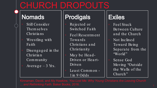## CHURCH DROPOUTS

### **Nomads**

- Still Consider Themselves Christians
- Wrestling with Fa ith
- Disengaged in the Christian Community
- Average  $-3$  Yrs.

## **Prodigals**

- Rejected or Switched Faith
- Feel Resentment Towards Christians and Christianity
- May be Head-Driven or Heart-Driven
- Least Common-1 in 9 Odds

## **Exiles**

- **Feel Stuck** Between Culture and the Church
- Not Inclined Toward Being Separate from the "World"
- Sense God Moving 'Outside the Walls of the Church"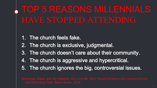# TOP 5 REASONS MILLENNIALS

- 1. The church feels fake.
- 2. The church is exclusive, judgmental.
- 3. The church doesn't care about their community.
- 4. The church is aggressive and hypercritical.
- 5. The church ignores the big, controversial issues.

*... and Rethinking Faith*. Baker Books, 2016.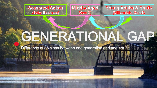

Middle-Aged (Gen X)

**Young Adults & Youth** (Millennials, Gen Z)

# GENERATIONAL GAP

Difference of opinions between one generation and another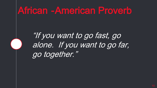## African -American Proverb

## "If you want to go fast, go alone. If you want to go far, go together."

"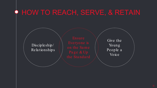## HOW TO REACH, SERVE, & RETAIN

 $Discip$  leship/ Relationships

Give the Young People a Voice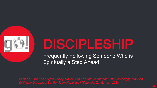

# DISCIPLESHIP

Frequently Following Someone Who is **Spiritually a Step Ahead**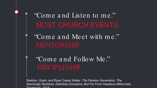## MOST CHURCH EVENTS "Com e a nd Listen to m e."

"Come and Meet with me." MENTORSHIP

"Com e a nd Follow Me." DISCIPLESHIP

Skeldon, Grant, and Ryan Casey Waller. *The Passion Generation: The Seemingly Reckless, Definitely Disruptive, But Far From Hopeless Millennials*. Zondervan 2018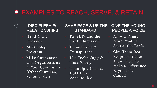### **EXAMPLES TO REACH, SERVE, & RETAIN**

### **DISCIPLESHIP/ RELATIONSHIPS**

- Hand-Craft  $Disci<sub>p</sub>$  les
- Mentorship Program
- Make Connections with Organizations in Your Community (Other Churches, Schools, Etc.)

### **SAME PAGE & UP THE STANDARD**

- Panel, Round the Table Discussion
- Be Authentic & Transparent
- Use Technology  $\&$ Time Wisely
- Train Up a Child  $\&$ Hold Them Accountable

### **GIVE THE YOUNG PEOPLE A VOICE**

- Allow a Young Adult, Youth a Seat at the Table
- Give Them Real Responsibility  $\&$ Allow Them to Make a Difference Beyond the Church